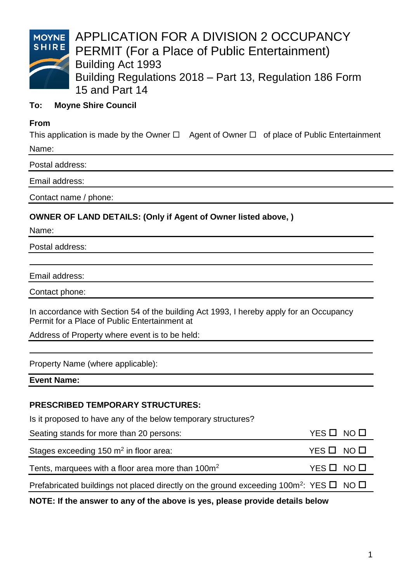

APPLICATION FOR A DIVISION 2 OCCUPANCY PERMIT (For a Place of Public Entertainment) Building Act 1993 Building Regulations 2018 – Part 13, Regulation 186 Form 15 and Part 14

## **To: Moyne Shire Council**

#### **From**

This application is made by the Owner  $\Box$  Agent of Owner  $\Box$  of place of Public Entertainment Name:

Postal address:

Email address:

Contact name / phone:

### **OWNER OF LAND DETAILS: (Only if Agent of Owner listed above, )**

Name:

Postal address:

Email address:

Contact phone:

In accordance with Section 54 of the building Act 1993, I hereby apply for an Occupancy Permit for a Place of Public Entertainment at

Address of Property where event is to be held:

Property Name (where applicable):

**Event Name:** 

#### **PRESCRIBED TEMPORARY STRUCTURES:**

Is it proposed to have any of the below temporary structures?

| Seating stands for more than 20 persons:                                                                     | YES <b>D</b> NO <b>D</b> |  |
|--------------------------------------------------------------------------------------------------------------|--------------------------|--|
| Stages exceeding 150 m <sup>2</sup> in floor area:                                                           | YES O NO O               |  |
| Tents, marquees with a floor area more than 100m <sup>2</sup>                                                | YES O NO O               |  |
| Prefabricated buildings not placed directly on the ground exceeding 100m <sup>2</sup> : YES $\Box$ NO $\Box$ |                          |  |

**NOTE: If the answer to any of the above is yes, please provide details below**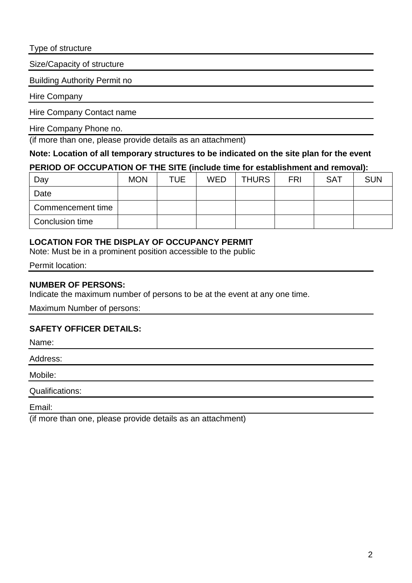Type of structure

Size/Capacity of structure

Building Authority Permit no

Hire Company

Hire Company Contact name

Hire Company Phone no.

(if more than one, please provide details as an attachment)

**Note: Location of all temporary structures to be indicated on the site plan for the event**

### **PERIOD OF OCCUPATION OF THE SITE (include time for establishment and removal):**

| Day               | <b>MON</b> | TUE. | <b>WED</b> | <b>THURS</b> | <b>FRI</b> | <b>SAT</b> | <b>SUN</b> |
|-------------------|------------|------|------------|--------------|------------|------------|------------|
| Date              |            |      |            |              |            |            |            |
| Commencement time |            |      |            |              |            |            |            |
| Conclusion time   |            |      |            |              |            |            |            |

## **LOCATION FOR THE DISPLAY OF OCCUPANCY PERMIT**

Note: Must be in a prominent position accessible to the public

Permit location:

## **NUMBER OF PERSONS:**

Indicate the maximum number of persons to be at the event at any one time.

Maximum Number of persons:

## **SAFETY OFFICER DETAILS:**

Name:

Address:

Mobile:

Qualifications:

Email:

(if more than one, please provide details as an attachment)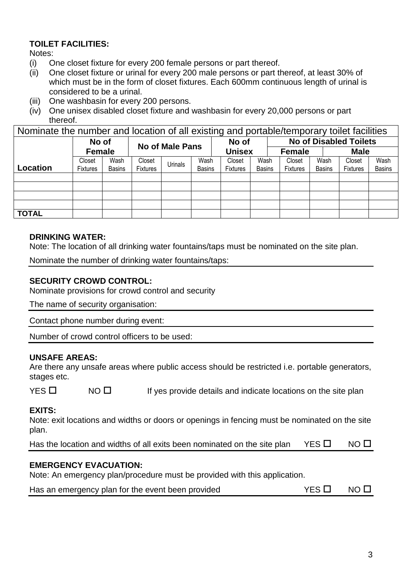## **TOILET FACILITIES:**

Notes:

- (i) One closet fixture for every 200 female persons or part thereof.<br>(ii) One closet fixture or urinal for every 200 male persons or part the
- One closet fixture or urinal for every 200 male persons or part thereof, at least 30% of which must be in the form of closet fixtures. Each 600mm continuous length of urinal is considered to be a urinal.
- (iii) One washbasin for every 200 persons.
- (iv) One unisex disabled closet fixture and washbasin for every 20,000 persons or part thereof.

Nominate the number and location of all existing and portable/temporary toilet facilities

|              | No of           |               | <b>No of Male Pans</b> |         |               | ້<br>No of      |               |                              |               | <b>No of Disabled Toilets</b> |               |
|--------------|-----------------|---------------|------------------------|---------|---------------|-----------------|---------------|------------------------------|---------------|-------------------------------|---------------|
|              | <b>Female</b>   |               |                        |         |               | <b>Unisex</b>   |               | <b>Male</b><br><b>Female</b> |               |                               |               |
|              | Closet          | Wash          | Closet                 | Jrinals | Wash          | Closet          | Wash          | Closet                       | Wash          | Closet                        | Wash          |
| Location     | <b>Fixtures</b> | <b>Basins</b> | <b>Fixtures</b>        |         | <b>Basins</b> | <b>Fixtures</b> | <b>Basins</b> | <b>Fixtures</b>              | <b>Basins</b> | <b>Fixtures</b>               | <b>Basins</b> |
|              |                 |               |                        |         |               |                 |               |                              |               |                               |               |
|              |                 |               |                        |         |               |                 |               |                              |               |                               |               |
|              |                 |               |                        |         |               |                 |               |                              |               |                               |               |
|              |                 |               |                        |         |               |                 |               |                              |               |                               |               |
| <b>TOTAL</b> |                 |               |                        |         |               |                 |               |                              |               |                               |               |

## **DRINKING WATER:**

Note: The location of all drinking water fountains/taps must be nominated on the site plan.

Nominate the number of drinking water fountains/taps:

# **SECURITY CROWD CONTROL:**

Nominate provisions for crowd control and security

The name of security organisation:

Contact phone number during event:

Number of crowd control officers to be used:

# **UNSAFE AREAS:**

Are there any unsafe areas where public access should be restricted i.e. portable generators, stages etc.

 $YES \Box$  NO  $\Pi$  If yes provide details and indicate locations on the site plan

## **EXITS:**

Note: exit locations and widths or doors or openings in fencing must be nominated on the site plan.

| YES O NO O<br>Has the location and widths of all exits been nominated on the site plan |  |
|----------------------------------------------------------------------------------------|--|
|----------------------------------------------------------------------------------------|--|

## **EMERGENCY EVACUATION:**

Note: An emergency plan/procedure must be provided with this application.

| Has an emergency plan for the event been provided | $YES$ D $NO$ D |  |
|---------------------------------------------------|----------------|--|
|---------------------------------------------------|----------------|--|